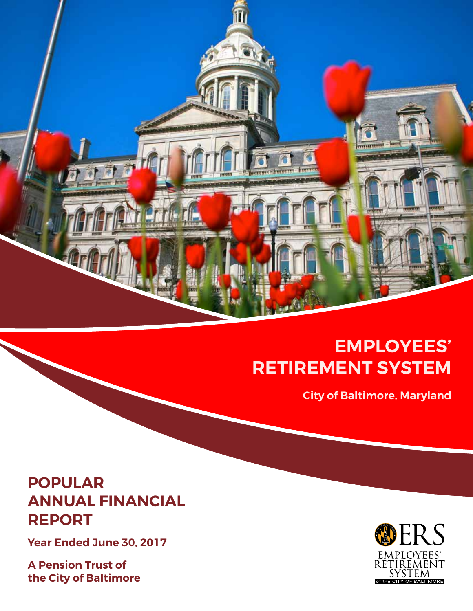

## **EMPLOYEES' RETIREMENT SYSTEM**

**City of Baltimore, Maryland**

### **POPULAR ANNUAL FINANCIAL REPORT**

**Year Ended June 30, 2017**

**A Pension Trust of the City of Baltimore**

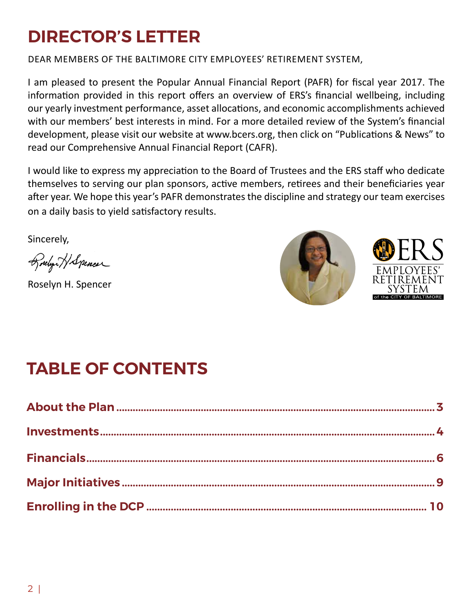## **DIRECTOR'S LETTER**

DEAR MEMBERS OF THE BALTIMORE CITY EMPLOYEES' RETIREMENT SYSTEM,

I am pleased to present the Popular Annual Financial Report (PAFR) for fiscal year 2017. The information provided in this report offers an overview of ERS's financial wellbeing, including our yearly investment performance, asset allocations, and economic accomplishments achieved with our members' best interests in mind. For a more detailed review of the System's financial development, please visit our website at www.bcers.org, then click on "Publications & News" to read our Comprehensive Annual Financial Report (CAFR).

I would like to express my appreciation to the Board of Trustees and the ERS staff who dedicate themselves to serving our plan sponsors, active members, retirees and their beneficiaries year after year. We hope this year's PAFR demonstrates the discipline and strategy our team exercises on a daily basis to yield satisfactory results.

Sincerely,

Boulyou HSpencer

Roselyn H. Spencer



## **TABLE OF CONTENTS**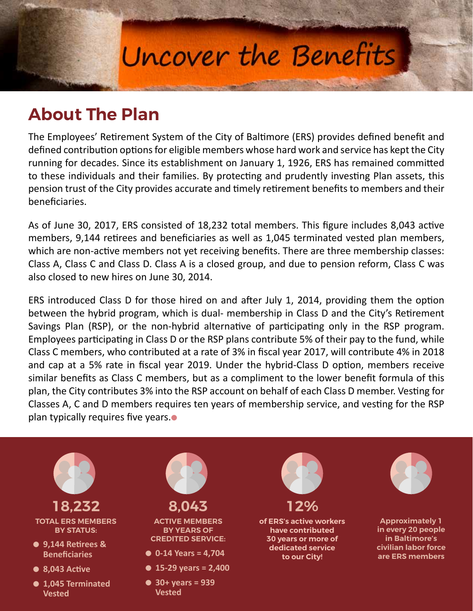# Uncover the Benefits

## **About The Plan**

The Employees' Retirement System of the City of Baltimore (ERS) provides defined benefit and defined contribution options for eligible members whose hard work and service has kept the City running for decades. Since its establishment on January 1, 1926, ERS has remained committed to these individuals and their families. By protecting and prudently investing Plan assets, this pension trust of the City provides accurate and timely retirement benefits to members and their beneficiaries.

As of June 30, 2017, ERS consisted of 18,232 total members. This figure includes 8,043 active members, 9,144 retirees and beneficiaries as well as 1,045 terminated vested plan members, which are non-active members not yet receiving benefits. There are three membership classes: Class A, Class C and Class D. Class A is a closed group, and due to pension reform, Class C was also closed to new hires on June 30, 2014.

ERS introduced Class D for those hired on and after July 1, 2014, providing them the option between the hybrid program, which is dual- membership in Class D and the City's Retirement Savings Plan (RSP), or the non-hybrid alternative of participating only in the RSP program. Employees participating in Class D or the RSP plans contribute 5% of their pay to the fund, while Class C members, who contributed at a rate of 3% in fiscal year 2017, will contribute 4% in 2018 and cap at a 5% rate in fiscal year 2019. Under the hybrid-Class D option, members receive similar benefits as Class C members, but as a compliment to the lower benefit formula of this plan, the City contributes 3% into the RSP account on behalf of each Class D member. Vesting for Classes A, C and D members requires ten years of membership service, and vesting for the RSP plan typically requires five years. $\bullet$ 

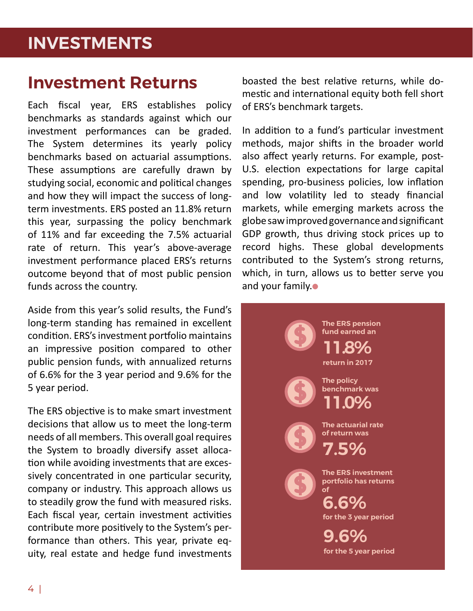### **INVESTMENTS**

### **Investment Returns**

Each fiscal year, ERS establishes policy benchmarks as standards against which our investment performances can be graded. The System determines its yearly policy benchmarks based on actuarial assumptions. These assumptions are carefully drawn by studying social, economic and political changes and how they will impact the success of longterm investments. ERS posted an 11.8% return this year, surpassing the policy benchmark of 11% and far exceeding the 7.5% actuarial rate of return. This year's above-average investment performance placed ERS's returns outcome beyond that of most public pension funds across the country.

Aside from this year's solid results, the Fund's long-term standing has remained in excellent condition. ERS's investment portfolio maintains an impressive position compared to other public pension funds, with annualized returns of 6.6% for the 3 year period and 9.6% for the 5 year period.

The ERS objective is to make smart investment decisions that allow us to meet the long-term needs of all members. This overall goal requires the System to broadly diversify asset allocation while avoiding investments that are excessively concentrated in one particular security, company or industry. This approach allows us to steadily grow the fund with measured risks. Each fiscal year, certain investment activities contribute more positively to the System's performance than others. This year, private equity, real estate and hedge fund investments

boasted the best relative returns, while domestic and international equity both fell short of ERS's benchmark targets.

In addition to a fund's particular investment methods, major shifts in the broader world also affect yearly returns. For example, post-U.S. election expectations for large capital spending, pro-business policies, low inflation and low volatility led to steady financial markets, while emerging markets across the globe saw improved governance and significant GDP growth, thus driving stock prices up to record highs. These global developments contributed to the System's strong returns, which, in turn, allows us to better serve you and your family. $\bullet$ 

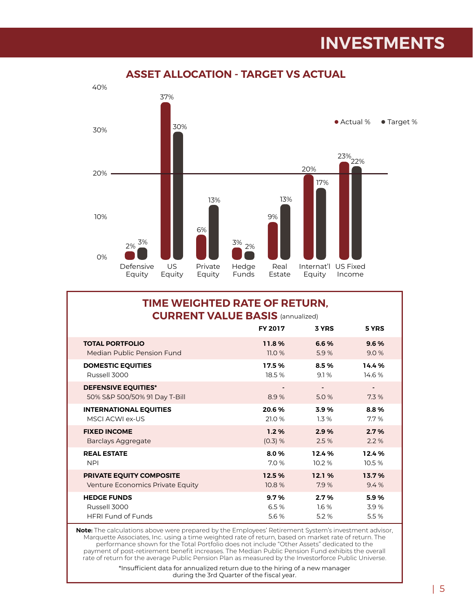### **INVESTMENTS**



#### **ASSET ALLOCATION - TARGET VS ACTUAL**

#### **TIME WEIGHTED RATE OF RETURN, CURRENT VALUE BASIS** (annualized)

|                                                             | <b>FY 2017</b> | 3 YRS                            | 5 YRS  |
|-------------------------------------------------------------|----------------|----------------------------------|--------|
| <b>TOTAL PORTFOLIO</b>                                      | 11.8%          | 6.6%                             | 9.6%   |
| Median Public Pension Fund                                  | 11.0%          | 5.9%                             | 9.0%   |
| <b>DOMESTIC EQUITIES</b>                                    | 17.5%          | 8.5%                             | 14.4%  |
| Russell 3000                                                | 18.5 %         | 9.1%                             | 14.6 % |
| <b>DEFENSIVE EQUITIES*</b><br>50% S&P 500/50% 91 Day T-Bill | 8.9%           | $\overline{\phantom{a}}$<br>5.0% | 7.3%   |
| <b>INTERNATIONAL EQUITIES</b>                               | 20.6%          | 3.9%                             | 8.8%   |
| MSCLACWLex-US                                               | 21.0 %         | 1.3%                             | 7.7%   |
| <b>FIXED INCOME</b>                                         | 1.2%           | 2.9%                             | 2.7%   |
| Barclays Aggregate                                          | (0.3) %        | 2.5%                             | 2.2%   |
| <b>REAL ESTATE</b>                                          | 8.0%           | 12.4%                            | 12.4%  |
| <b>NPI</b>                                                  | 7.0%           | 10.2%                            | 10.5 % |
| <b>PRIVATE EQUITY COMPOSITE</b>                             | 12.5%          | 12.1%                            | 13.7%  |
| Venture Economics Private Equity                            | 10.8%          | 7.9%                             | 9.4%   |
| <b>HEDGE FUNDS</b>                                          | 9.7%           | 2.7%                             | 5.9%   |
| Russell 3000                                                | 6.5%           | 16%                              | 3.9%   |
| <b>HFRI Fund of Funds</b>                                   | 5.6 %          | 5.2%                             | 5.5%   |

**Note:** The calculations above were prepared by the Employees' Retirement System's investment advisor, Marquette Associates, Inc. using a time weighted rate of return, based on market rate of return. The performance shown for the Total Portfolio does not include "Other Assets" dedicated to the payment of post-retirement benefit increases. The Median Public Pension Fund exhibits the overall rate of return for the average Public Pension Plan as measured by the Investorforce Public Universe.

> \*Insufficient data for annualized return due to the hiring of a new manager during the 3rd Quarter of the fiscal year.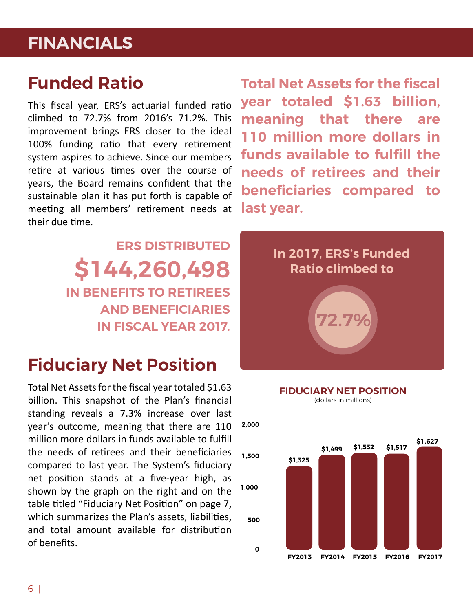### **FINANCIALS**

### **Funded Ratio**

This fiscal year, ERS's actuarial funded ratio climbed to 72.7% from 2016's 71.2%. This improvement brings ERS closer to the ideal 100% funding ratio that every retirement system aspires to achieve. Since our members retire at various times over the course of years, the Board remains confident that the sustainable plan it has put forth is capable of meeting all members' retirement needs at their due time.

> **ERS DISTRIBUTED \$144,260,498 IN BENEFITS TO RETIREES AND BENEFICIARIES IN FISCAL YEAR 2017.**

### **Fiduciary Net Position**

Total Net Assets for the fiscal year totaled \$1.63 billion. This snapshot of the Plan's financial standing reveals a 7.3% increase over last year's outcome, meaning that there are 110 million more dollars in funds available to fulfill the needs of retirees and their beneficiaries compared to last year. The System's fiduciary net position stands at a five-year high, as shown by the graph on the right and on the table titled "Fiduciary Net Position" on page 7, which summarizes the Plan's assets, liabilities, and total amount available for distribution of benefits.

**Total Net Assets for the fiscal year totaled \$1.63 billion, meaning that there are 110 million more dollars in funds available to fulfill the needs of retirees and their beneficiaries compared to last year.**



#### **FIDUCIARY NET POSITION**

(dollars in millions)

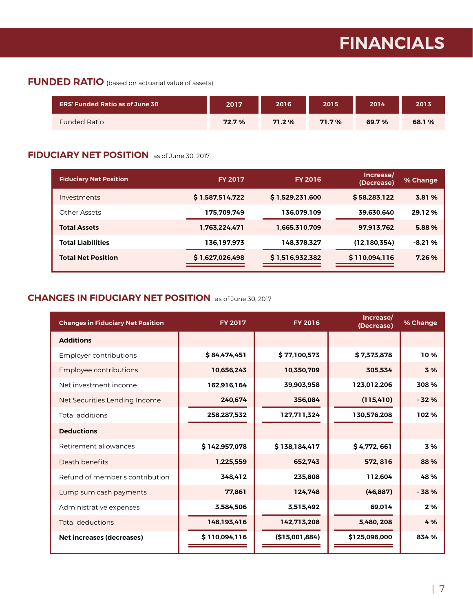## **FINANCIALS**

#### **FUNDED RATIO** (based on actuarial value of assets)

| <b>ERS' Funded Ratio as of June 30</b> | 2017  | 2016   | 2015     | 2014  | 2013   |
|----------------------------------------|-------|--------|----------|-------|--------|
| <b>Funded Ratio</b>                    | 72.7% | 71.2 % | $71.7\%$ | 69.7% | 68.1 % |

#### **FIDUCIARY NET POSITION** as of June 30, 2017

| <b>Fiduciary Net Position</b> | <b>FY 2017</b>  | <b>FY 2016</b>  | Increase/<br>(Decrease) | % Change |
|-------------------------------|-----------------|-----------------|-------------------------|----------|
| Investments                   | \$1,587,514,722 | \$1,529,231,600 | \$58,283,122            | 3.81 %   |
| Other Assets                  | 175,709,749     | 136,079,109     | 39,630,640              | 29.12%   |
| <b>Total Assets</b>           | 1.763.224.471   | 1.665.310.709   | 97.913.762              | 5.88%    |
| <b>Total Liabilities</b>      | 136,197,973     | 148,378,327     | (12, 180, 354)          | $-8.21%$ |
| <b>Total Net Position</b>     | \$1,627,026,498 | \$1,516,932,382 | \$110,094,116           | 7.26%    |

#### **CHANGES IN FIDUCIARY NET POSITION** as of June 30, 2017

| <b>Changes in Fiduciary Net Position</b> | <b>FY 2017</b> | <b>FY 2016</b> | Increase/<br>(Decrease) | % Change |
|------------------------------------------|----------------|----------------|-------------------------|----------|
| <b>Additions</b>                         |                |                |                         |          |
| Employer contributions                   | \$84,474,451   | \$77,100,573   | \$7,373,878             | 10%      |
| Employee contributions                   | 10.656.243     | 10.350.709     | 305.534                 | 3 %      |
| Net investment income                    | 162,916,164    | 39,903,958     | 123,012,206             | 308 %    |
| Net Securities Lending Income            | 240,674        | 356,084        | (115, 410)              | $-32%$   |
| Total additions                          | 258,287,532    | 127,711,324    | 130,576,208             | 102%     |
| <b>Deductions</b>                        |                |                |                         |          |
| Retirement allowances                    | \$142,957,078  | \$138,184,417  | \$4,772,661             | 3%       |
| Death benefits                           | 1,225,559      | 652,743        | 572, 816                | 88 %     |
| Refund of member's contribution          | 348.412        | 235.808        | 112.604                 | 48 %     |
| Lump sum cash payments                   | 77,861         | 124,748        | (46, 887)               | $-38%$   |
| Administrative expenses                  | 3,584,506      | 3,515,492      | 69.014                  | 2%       |
| Total deductions                         | 148,193,416    | 142,713,208    | 5,480, 208              | 4 %      |
| <b>Net increases (decreases)</b>         | \$110,094,116  | (\$15,001,884) | \$125,096,000           | 834 %    |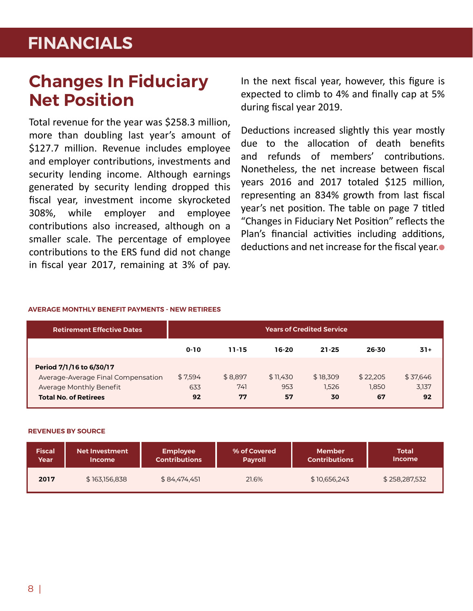## **FINANCIALS**

### **Changes In Fiduciary Net Position**

Total revenue for the year was \$258.3 million, more than doubling last year's amount of \$127.7 million. Revenue includes employee and employer contributions, investments and security lending income. Although earnings generated by security lending dropped this fiscal year, investment income skyrocketed 308%, while employer and employee contributions also increased, although on a smaller scale. The percentage of employee contributions to the ERS fund did not change in fiscal year 2017, remaining at 3% of pay.

In the next fiscal year, however, this figure is expected to climb to 4% and finally cap at 5% during fiscal year 2019.

Deductions increased slightly this year mostly due to the allocation of death benefits and refunds of members' contributions. Nonetheless, the net increase between fiscal years 2016 and 2017 totaled \$125 million, representing an 834% growth from last fiscal year's net position. The table on page 7 titled "Changes in Fiduciary Net Position" reflects the Plan's financial activities including additions, deductions and net increase for the fiscal year.<sup>1</sup>

#### **AVERAGE MONTHLY BENEFIT PAYMENTS - NEW RETIREES**

| <b>Retirement Effective Dates</b>  | <b>Years of Credited Service</b> |         |          |           |          |          |
|------------------------------------|----------------------------------|---------|----------|-----------|----------|----------|
|                                    | $0 - 10$                         | 11-15   | 16-20    | $21 - 25$ | 26-30    | $31+$    |
| Period 7/1/16 to 6/30/17           |                                  |         |          |           |          |          |
| Average-Average Final Compensation | \$7,594                          | \$8.897 | \$11.430 | \$18,309  | \$22,205 | \$37,646 |
| Average Monthly Benefit            | 633                              | 741     | 953      | 1.526     | 1.850    | 3,137    |
| <b>Total No. of Retirees</b>       | 92                               | 77      | 57       | 30        | 67       | 92       |

#### **REVENUES BY SOURCE**

| <b>Fiscal</b> | <b>Net Investment</b> | <b>Employee</b>      | % of Covered   | <b>Member</b>        | Total         |
|---------------|-----------------------|----------------------|----------------|----------------------|---------------|
| Year          | <b>Income</b>         | <b>Contributions</b> | <b>Payroll</b> | <b>Contributions</b> | <b>Income</b> |
| 2017          | \$163,156,838         | \$84,474,451         | 21.6%          | \$10,656,243         | \$258,287,532 |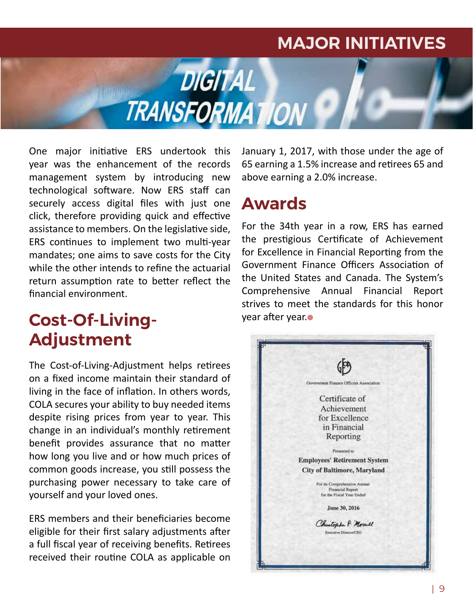### **MAJOR INITIATIVES**

One major initiative ERS undertook this year was the enhancement of the records management system by introducing new technological software. Now ERS staff can securely access digital files with just one click, therefore providing quick and effective assistance to members. On the legislative side, ERS continues to implement two multi-year mandates; one aims to save costs for the City while the other intends to refine the actuarial return assumption rate to better reflect the financial environment.

### **Cost-Of-Living-Adjustment**

The Cost-of-Living-Adjustment helps retirees on a fixed income maintain their standard of living in the face of inflation. In others words, COLA secures your ability to buy needed items despite rising prices from year to year. This change in an individual's monthly retirement benefit provides assurance that no matter how long you live and or how much prices of common goods increase, you still possess the purchasing power necessary to take care of yourself and your loved ones.

ERS members and their beneficiaries become eligible for their first salary adjustments after a full fiscal year of receiving benefits. Retirees received their routine COLA as applicable on January 1, 2017, with those under the age of 65 earning a 1.5% increase and retirees 65 and above earning a 2.0% increase.

### **Awards**

**DIGITAL** 

**TRANSFORMATION** 

For the 34th year in a row, ERS has earned the prestigious Certificate of Achievement for Excellence in Financial Reporting from the Government Finance Officers Association of the United States and Canada. The System's Comprehensive Annual Financial Report strives to meet the standards for this honor vear after year.

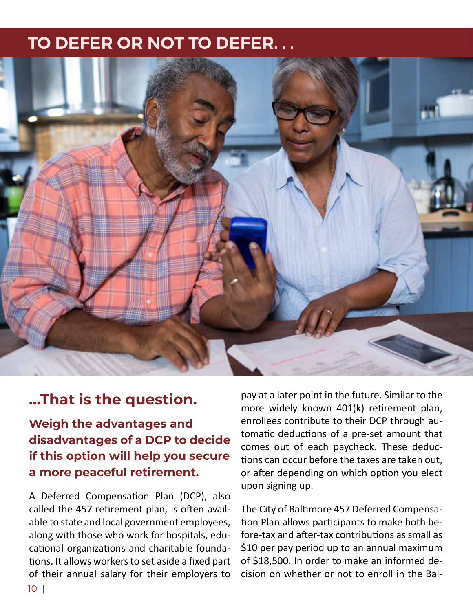### **TO DEFER OR NOT TO DEFER. . .**



### **…That is the question.**

**Weigh the advantages and disadvantages of a DCP to decide if this option will help you secure a more peaceful retirement.**

A Deferred Compensation Plan (DCP), also called the 457 retirement plan, is often available to state and local government employees, along with those who work for hospitals, educational organizations and charitable foundations. It allows workers to set aside a fixed part of their annual salary for their employers to

pay at a later point in the future. Similar to the more widely known 401(k) retirement plan, enrollees contribute to their DCP through automatic deductions of a pre-set amount that comes out of each paycheck. These deductions can occur before the taxes are taken out, or after depending on which option you elect upon signing up.

The City of Baltimore 457 Deferred Compensation Plan allows participants to make both before-tax and after-tax contributions as small as \$10 per pay period up to an annual maximum of \$18,500. In order to make an informed decision on whether or not to enroll in the Bal-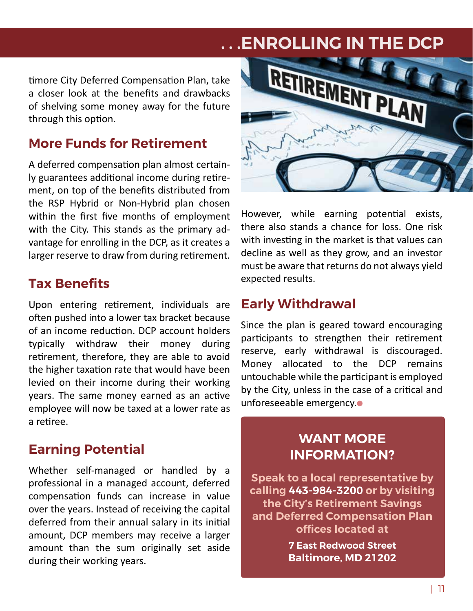## **TO DEFER OR NOT TO DEFER. . . . . .ENROLLING IN THE DCP**

timore City Deferred Compensation Plan, take a closer look at the benefits and drawbacks of shelving some money away for the future through this option.

### **More Funds for Retirement**

A deferred compensation plan almost certainly guarantees additional income during retirement, on top of the benefits distributed from the RSP Hybrid or Non-Hybrid plan chosen within the first five months of employment with the City. This stands as the primary advantage for enrolling in the DCP, as it creates a larger reserve to draw from during retirement.

### **Tax Benefits**

Upon entering retirement, individuals are often pushed into a lower tax bracket because of an income reduction. DCP account holders typically withdraw their money during retirement, therefore, they are able to avoid the higher taxation rate that would have been levied on their income during their working years. The same money earned as an active employee will now be taxed at a lower rate as a retiree.

### **Earning Potential**

Whether self-managed or handled by a professional in a managed account, deferred compensation funds can increase in value over the years. Instead of receiving the capital deferred from their annual salary in its initial amount, DCP members may receive a larger amount than the sum originally set aside during their working years.



However, while earning potential exists, there also stands a chance for loss. One risk with investing in the market is that values can decline as well as they grow, and an investor must be aware that returns do not always yield expected results.

#### **Early Withdrawal**

Since the plan is geared toward encouraging participants to strengthen their retirement reserve, early withdrawal is discouraged. Money allocated to the DCP remains untouchable while the participant is employed by the City, unless in the case of a critical and unforeseeable emergency.

### **WANT MORE INFORMATION?**

**Speak to a local representative by calling 443-984-3200 or by visiting the City's Retirement Savings and Deferred Compensation Plan offices located at** 

> **7 East Redwood Street Baltimore, MD 21202**